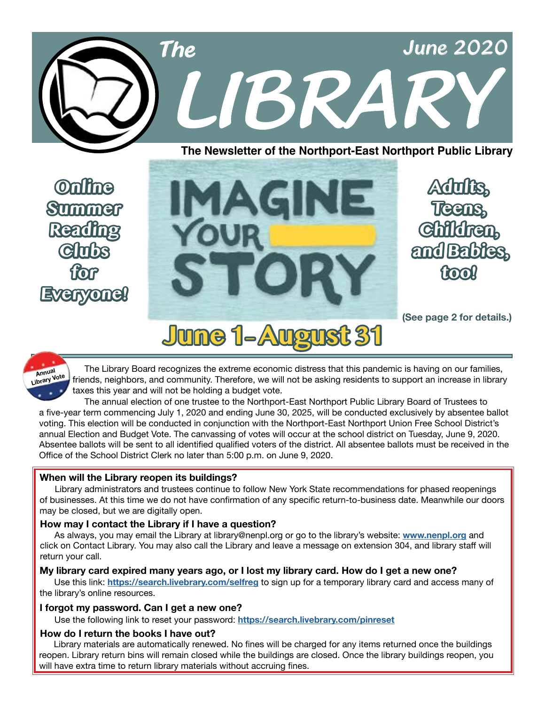

**The Newsletter of the Northport-East Northport Public Library**

**Online Summer Reading Clubs for Everyone!**



**Adults, Teens, Children, and Babies, too!**

**(See page 2 for details.)**

# **June 1– August 31**

Annual<br>Library Vote Annual The Library Board recognizes the extreme economic distress that this pandemic is having on our families,<br>Internal Striends, neighbors, and community. Therefore, we will not be asking residents to support an increase taxes this year and will not be holding a budget vote.

 The annual election of one trustee to the Northport-East Northport Public Library Board of Trustees to a five-year term commencing July 1, 2020 and ending June 30, 2025, will be conducted exclusively by absentee ballot voting. This election will be conducted in conjunction with the Northport-East Northport Union Free School District's annual Election and Budget Vote. The canvassing of votes will occur at the school district on Tuesday, June 9, 2020. Absentee ballots will be sent to all identified qualified voters of the district. All absentee ballots must be received in the Office of the School District Clerk no later than 5:00 p.m. on June 9, 2020.

### **When will the Library reopen its buildings?**

 Library administrators and trustees continue to follow New York State recommendations for phased reopenings of businesses. At this time we do not have confirmation of any specific return-to-business date. Meanwhile our doors may be closed, but we are digitally open.

### **How may I contact the Library if I have a question?**

 As always, you may email the Library at library@nenpl.org or go to the library's website: **[www.nenpl.org](http://www.nenpl.org)** and click on Contact Library. You may also call the Library and leave a message on extension 304, and library staff will return your call.

### **My library card expired many years ago, or I lost my library card. How do I get a new one?**

 Use this link: **<https://search.livebrary.com/selfreg>** to sign up for a temporary library card and access many of the library's online resources.

### **I forgot my password. Can I get a new one?**

Use the following link to reset your password: **<https://search.livebrary.com/pinreset>**

### **How do I return the books I have out?**

 Library materials are automatically renewed. No fines will be charged for any items returned once the buildings reopen. Library return bins will remain closed while the buildings are closed. Once the library buildings reopen, you will have extra time to return library materials without accruing fines.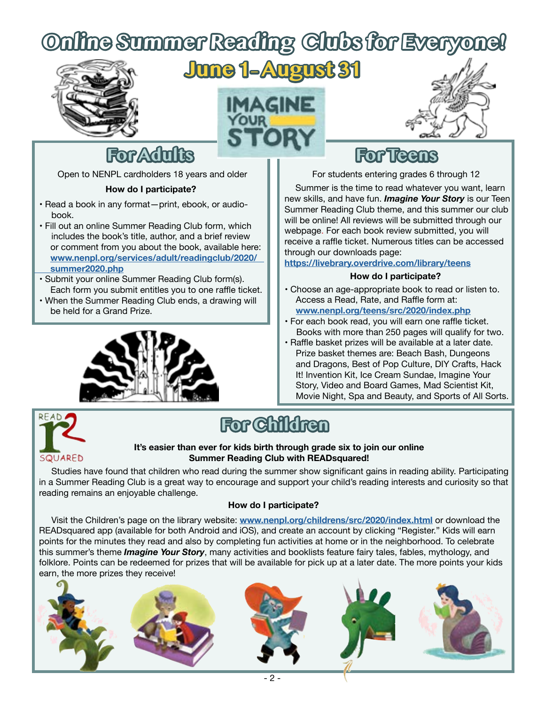# **Online Summer Reading Clubs for Everyone!**







## **For Adults**

Open to NENPL cardholders 18 years and older

#### **How do I participate?**

- Read a book in any format—print, ebook, or audio book.
- Fill out an online Summer Reading Club form, which includes the book's title, author, and a brief review or comment from you about the book, available here: **[www.nenpl.org/services/adult/readingclub/2020/](http://www.nenpl.org/services/adult/readingclub/2020/summer2020.php)  [summer2020.php](http://www.nenpl.org/services/adult/readingclub/2020/summer2020.php)**
- Submit your online Summer Reading Club form(s). Each form you submit entitles you to one raffle ticket.
- When the Summer Reading Club ends, a drawing will be held for a Grand Prize.



## **For Teens**

For students entering grades 6 through 12

 Summer is the time to read whatever you want, learn new skills, and have fun. *Imagine Your Story* is our Teen Summer Reading Club theme, and this summer our club will be online! All reviews will be submitted through our webpage. For each book review submitted, you will receive a raffle ticket. Numerous titles can be accessed through our downloads page:

**<https://livebrary.overdrive.com/library/teens>**

#### **How do I participate?**

- Choose an age-appropriate book to read or listen to. Access a Read, Rate, and Raffle form at: **[www.nenpl.org/teens/src/2020/index.php](http://www.nenpl.org/teens/src/2020/index.php)**
- For each book read, you will earn one raffle ticket. Books with more than 250 pages will qualify for two.
- Raffle basket prizes will be available at a later date. Prize basket themes are: Beach Bash, Dungeons and Dragons, Best of Pop Culture, DIY Crafts, Hack It! Invention Kit, Ice Cream Sundae, Imagine Your Story, Video and Board Games, Mad Scientist Kit, Movie Night, Spa and Beauty, and Sports of All Sorts.



# **For Children**

#### **It's easier than ever for kids birth through grade six to join our online Summer Reading Club with READsquared!**

 Studies have found that children who read during the summer show significant gains in reading ability. Participating in a Summer Reading Club is a great way to encourage and support your child's reading interests and curiosity so that reading remains an enjoyable challenge.

### **How do I participate?**

 Visit the Children's page on the library website: **[www.nenpl.org/childrens/src/2020/index.html](http://www.nenpl.org/childrens/src/2020/index.html)** or download the READsquared app (available for both Android and iOS), and create an account by clicking "Register." Kids will earn points for the minutes they read and also by completing fun activities at home or in the neighborhood. To celebrate this summer's theme *Imagine Your Story*, many activities and booklists feature fairy tales, fables, mythology, and folklore. Points can be redeemed for prizes that will be available for pick up at a later date. The more points your kids earn, the more prizes they receive!

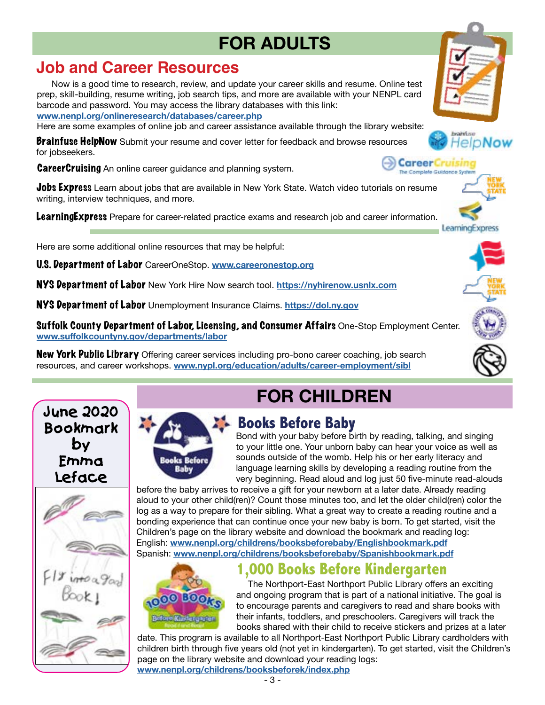# **FOR ADULTS**

### **Job and Career Resources**

 Now is a good time to research, review, and update your career skills and resume. Online test prep, skill-building, resume writing, job search tips, and more are available with your NENPL card barcode and password. You may access the library databases with this link: **[www.nenpl.org/onlineresearch/databases/career.php](http://www.nenpl.org/onlineresearch/databases/career.php)**

Here are some examples of online job and career assistance available through the library website:

**Brainfuse HelpNow** Submit your resume and cover letter for feedback and browse resources for jobseekers.

**CareerCruising** An online career guidance and planning system.

**Jobs Express** Learn about jobs that are available in New York State. Watch video tutorials on resume writing, interview techniques, and more.

**LearningExpress** Prepare for career-related practice exams and research job and career information.

Here are some additional online resources that may be helpful:

U.S. Department of Labor CareerOneStop. **[www.careeronestop.org](http://www.careeronestop.org)**

NYS Department of Labor New York Hire Now search tool. **<https://nyhirenow.usnlx.com>**

NYS Department of Labor Unemployment Insurance Claims. **<https://dol.ny.gov>**

Suffolk County Department of Labor, Licensing, and Consumer Affairs One-Stop Employment Center. **[www.suffolkcountyny.gov/departments/labor](http://www.suffolkcountyny.gov/departments/labor)**

**New York Public Library** Offering career services including pro-bono career coaching, job search resources, and career workshops. **[www.nypl.org/education/adults/career-employment/sibl](http://www.nypl.org/education/adults/career-employment/sibl)**

# **FOR CHILDREN**



### **Books Before Baby**

 Bond with your baby before birth by reading, talking, and singing to your little one. Your unborn baby can hear your voice as well as sounds outside of the womb. Help his or her early literacy and language learning skills by developing a reading routine from the very beginning. Read aloud and log just 50 five-minute read-alouds

before the baby arrives to receive a gift for your newborn at a later date. Already reading aloud to your other child(ren)? Count those minutes too, and let the older child(ren) color the log as a way to prepare for their sibling. What a great way to create a reading routine and a bonding experience that can continue once your new baby is born. To get started, visit the Children's page on the library website and download the bookmark and reading log: English: **[www.nenpl.org/childrens/booksbeforebaby/Englishbookmark.pdf](http://www.nenpl.org/childrens/booksbeforebaby/Englishbookmark.pdf)** Spanish: **[www.nenpl.org/childrens/booksbeforebaby/Spanishbookmark.pdf](http://www.nenpl.org/childrens/booksbeforebaby/Spanishbookmark.pdf)**



**Books Before** Baby

### **1,000 Books Before Kindergarten**

 The Northport-East Northport Public Library offers an exciting and ongoing program that is part of a national initiative. The goal is to encourage parents and caregivers to read and share books with their infants, toddlers, and preschoolers. Caregivers will track the books shared with their child to receive stickers and prizes at a later

date. This program is available to all Northport-East Northport Public Library cardholders with children birth through five years old (not yet in kindergarten). To get started, visit the Children's page on the library website and download your reading logs: **[www.nenpl.org/childrens/booksbeforek/index.php](http://www.nenpl.org/childrens/booksbeforek/index.php)**





The Complete Guidance System